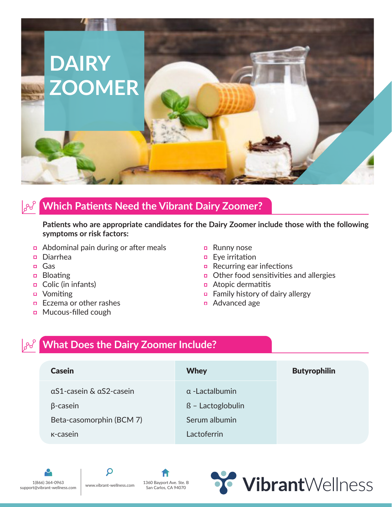

## **Which Patients Need the Vibrant Dairy Zoomer?**

**Patients who are appropriate candidates for the Dairy Zoomer include those with the following symptoms or risk factors:**

- Abdominal pain during or after meals
- Diarrhea
- Gas
- Bloating
- $\Box$  Colic (in infants)
- Vomiting
- $\Box$  Eczema or other rashes
- **D** Mucous-filled cough
- **Runny nose**
- $\Box$  Eye irritation
- Recurring ear infections
- $\Box$  Other food sensitivities and allergies
- $\Box$  Atopic dermatitis
- **Example 1** Family history of dairy allergy
- Advanced age

# **What Does the Dairy Zoomer Include?**

| <b>Casein</b>            | <b>Whey</b>             | <b>Butyrophilin</b> |
|--------------------------|-------------------------|---------------------|
| aS1-casein & aS2-casein  | $\alpha$ -Lactalbumin   |                     |
| $\beta$ -casein          | $\beta$ - Lactoglobulin |                     |
| Beta-casomorphin (BCM 7) | Serum albumin           |                     |
| K-casein                 | Lactoferrin             |                     |